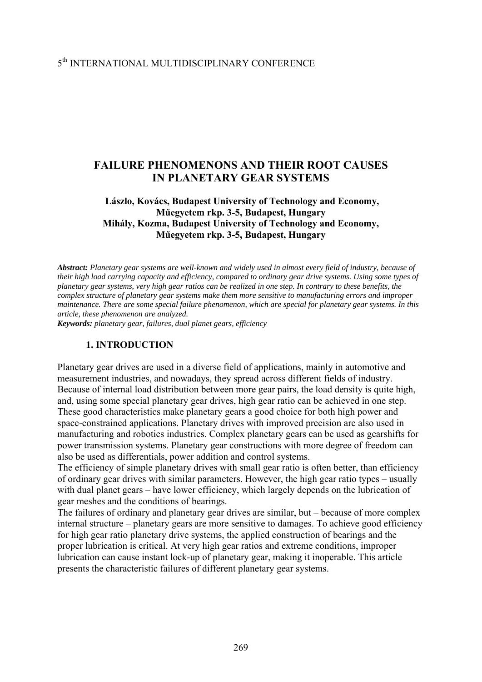## 5th INTERNATIONAL MULTIDISCIPLINARY CONFERENCE

# **FAILURE PHENOMENONS AND THEIR ROOT CAUSES IN PLANETARY GEAR SYSTEMS**

### **Lászlo, Kovács, Budapest University of Technology and Economy, Műegyetem rkp. 3-5, Budapest, Hungary Mihály, Kozma, Budapest University of Technology and Economy, Műegyetem rkp. 3-5, Budapest, Hungary**

*Abstract: Planetary gear systems are well-known and widely used in almost every field of industry, because of their high load carrying capacity and efficiency, compared to ordinary gear drive systems. Using some types of planetary gear systems, very high gear ratios can be realized in one step. In contrary to these benefits, the complex structure of planetary gear systems make them more sensitive to manufacturing errors and improper maintenance. There are some special failure phenomenon, which are special for planetary gear systems. In this article, these phenomenon are analyzed.* 

*Keywords: planetary gear, failures, dual planet gears, efficiency*

### **1. INTRODUCTION**

Planetary gear drives are used in a diverse field of applications, mainly in automotive and measurement industries, and nowadays, they spread across different fields of industry. Because of internal load distribution between more gear pairs, the load density is quite high, and, using some special planetary gear drives, high gear ratio can be achieved in one step. These good characteristics make planetary gears a good choice for both high power and space-constrained applications. Planetary drives with improved precision are also used in manufacturing and robotics industries. Complex planetary gears can be used as gearshifts for power transmission systems. Planetary gear constructions with more degree of freedom can also be used as differentials, power addition and control systems.

The efficiency of simple planetary drives with small gear ratio is often better, than efficiency of ordinary gear drives with similar parameters. However, the high gear ratio types – usually with dual planet gears – have lower efficiency, which largely depends on the lubrication of gear meshes and the conditions of bearings.

The failures of ordinary and planetary gear drives are similar, but – because of more complex internal structure – planetary gears are more sensitive to damages. To achieve good efficiency for high gear ratio planetary drive systems, the applied construction of bearings and the proper lubrication is critical. At very high gear ratios and extreme conditions, improper lubrication can cause instant lock-up of planetary gear, making it inoperable. This article presents the characteristic failures of different planetary gear systems.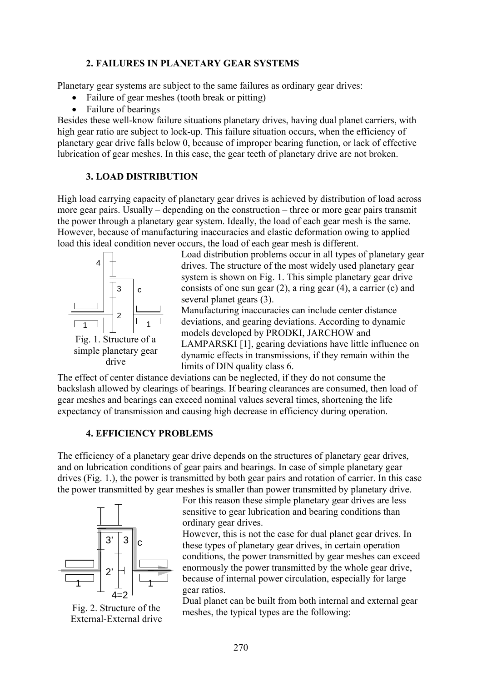### **2. FAILURES IN PLANETARY GEAR SYSTEMS**

Planetary gear systems are subject to the same failures as ordinary gear drives:

- Failure of gear meshes (tooth break or pitting)
- Failure of bearings

Besides these well-know failure situations planetary drives, having dual planet carriers, with high gear ratio are subject to lock-up. This failure situation occurs, when the efficiency of planetary gear drive falls below 0, because of improper bearing function, or lack of effective lubrication of gear meshes. In this case, the gear teeth of planetary drive are not broken.

### **3. LOAD DISTRIBUTION**

High load carrying capacity of planetary gear drives is achieved by distribution of load across more gear pairs. Usually – depending on the construction – three or more gear pairs transmit the power through a planetary gear system. Ideally, the load of each gear mesh is the same. However, because of manufacturing inaccuracies and elastic deformation owing to applied load this ideal condition never occurs, the load of each gear mesh is different.



Load distribution problems occur in all types of planetary gear drives. The structure of the most widely used planetary gear system is shown on Fig. 1. This simple planetary gear drive consists of one sun gear (2), a ring gear (4), a carrier (c) and several planet gears (3).

Manufacturing inaccuracies can include center distance deviations, and gearing deviations. According to dynamic models developed by PRODKI, JARCHOW and LAMPARSKI [1], gearing deviations have little influence on dynamic effects in transmissions, if they remain within the limits of DIN quality class 6.

The effect of center distance deviations can be neglected, if they do not consume the backslash allowed by clearings of bearings. If bearing clearances are consumed, then load of gear meshes and bearings can exceed nominal values several times, shortening the life expectancy of transmission and causing high decrease in efficiency during operation.

## **4. EFFICIENCY PROBLEMS**

The efficiency of a planetary gear drive depends on the structures of planetary gear drives, and on lubrication conditions of gear pairs and bearings. In case of simple planetary gear drives (Fig. 1.), the power is transmitted by both gear pairs and rotation of carrier. In this case the power transmitted by gear meshes is smaller than power transmitted by planetary drive.



Fig. 2. Structure of the External-External drive

For this reason these simple planetary gear drives are less sensitive to gear lubrication and bearing conditions than ordinary gear drives.

However, this is not the case for dual planet gear drives. In these types of planetary gear drives, in certain operation conditions, the power transmitted by gear meshes can exceed enormously the power transmitted by the whole gear drive, because of internal power circulation, especially for large gear ratios.

Dual planet can be built from both internal and external gear meshes, the typical types are the following: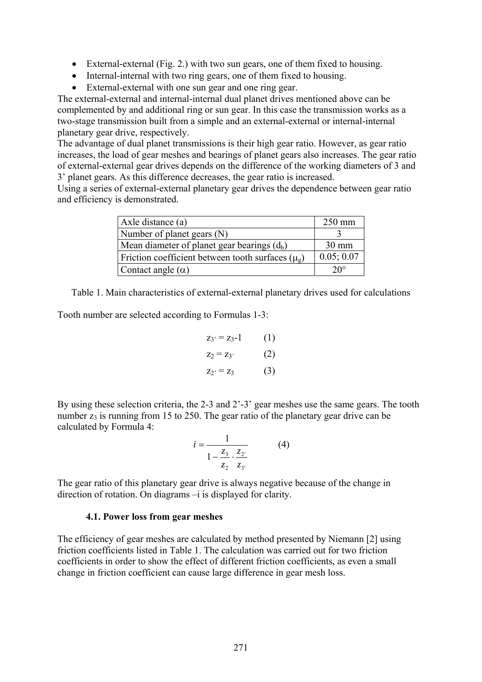- External-external (Fig. 2.) with two sun gears, one of them fixed to housing.
- Internal-internal with two ring gears, one of them fixed to housing.
- External-external with one sun gear and one ring gear.

The external-external and internal-internal dual planet drives mentioned above can be complemented by and additional ring or sun gear. In this case the transmission works as a two-stage transmission built from a simple and an external-external or internal-internal planetary gear drive, respectively.

The advantage of dual planet transmissions is their high gear ratio. However, as gear ratio increases, the load of gear meshes and bearings of planet gears also increases. The gear ratio of external-external gear drives depends on the difference of the working diameters of 3 and 3' planet gears. As this difference decreases, the gear ratio is increased.

Using a series of external-external planetary gear drives the dependence between gear ratio and efficiency is demonstrated.

| Axle distance (a)                                             | $250$ mm        |
|---------------------------------------------------------------|-----------------|
| Number of planet gears (N)                                    |                 |
| Mean diameter of planet gear bearings $(d_b)$                 | $30 \text{ mm}$ |
| Friction coefficient between tooth surfaces $(\mu_{\varrho})$ | 0.05; 0.07      |
| Contact angle $(\alpha)$                                      | $20^{\circ}$    |

Table 1. Main characteristics of external-external planetary drives used for calculations

Tooth number are selected according to Formulas 1-3:

$$
z_3 = z_3-1
$$
 (1)  
\n $z_2 = z_3$  (2)  
\n $z_2 = z_3$  (3)

By using these selection criteria, the 2-3 and 2'-3' gear meshes use the same gears. The tooth number  $z_3$  is running from 15 to 250. The gear ratio of the planetary gear drive can be calculated by Formula 4:

$$
i = \frac{1}{1 - \frac{z_3}{z_2} \cdot \frac{z_2}{z_3}}\tag{4}
$$

The gear ratio of this planetary gear drive is always negative because of the change in direction of rotation. On diagrams –i is displayed for clarity.

#### **4.1. Power loss from gear meshes**

The efficiency of gear meshes are calculated by method presented by Niemann [2] using friction coefficients listed in Table 1. The calculation was carried out for two friction coefficients in order to show the effect of different friction coefficients, as even a small change in friction coefficient can cause large difference in gear mesh loss.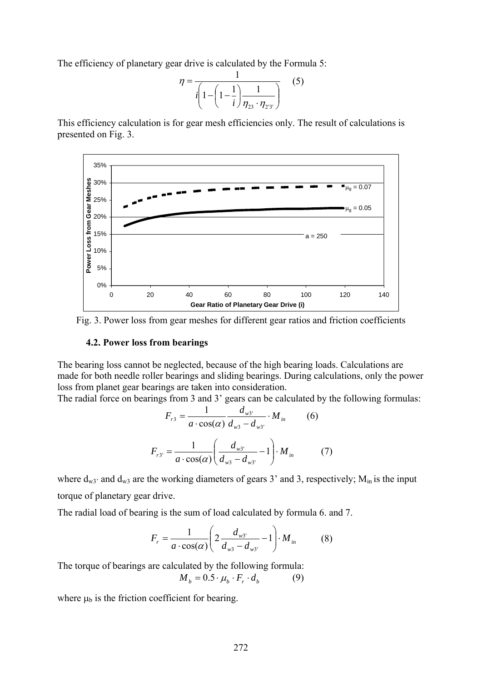The efficiency of planetary gear drive is calculated by the Formula 5:

$$
\eta = \frac{1}{i \left( 1 - \left( 1 - \frac{1}{i} \right) \frac{1}{\eta_{23} \cdot \eta_{23}} \right)}
$$
(5)

This efficiency calculation is for gear mesh efficiencies only. The result of calculations is presented on Fig. 3.



Fig. 3. Power loss from gear meshes for different gear ratios and friction coefficients

### **4.2. Power loss from bearings**

The bearing loss cannot be neglected, because of the high bearing loads. Calculations are made for both needle roller bearings and sliding bearings. During calculations, only the power loss from planet gear bearings are taken into consideration.

The radial force on bearings from 3 and 3' gears can be calculated by the following formulas:

$$
F_{r3} = \frac{1}{a \cdot \cos(\alpha)} \frac{d_{w3}}{d_{w3} - d_{w3}} \cdot M_{in}
$$
 (6)  

$$
F_{r3'} = \frac{1}{a \cdot \cos(\alpha)} \left( \frac{d_{w3'}}{d_{w3} - d_{w3'}} - 1 \right) \cdot M_{in}
$$
 (7)

where  $d_{w3}$  and  $d_{w3}$  are the working diameters of gears 3' and 3, respectively;  $M_{in}$  is the input torque of planetary gear drive.

The radial load of bearing is the sum of load calculated by formula 6. and 7.

$$
F_r = \frac{1}{a \cdot \cos(\alpha)} \left( 2 \frac{d_{w3}}{d_{w3} - d_{w3'}} - 1 \right) \cdot M_{in} \tag{8}
$$

The torque of bearings are calculated by the following formula:

$$
M_b = 0.5 \cdot \mu_b \cdot F_r \cdot d_b \tag{9}
$$

where  $\mu_b$  is the friction coefficient for bearing.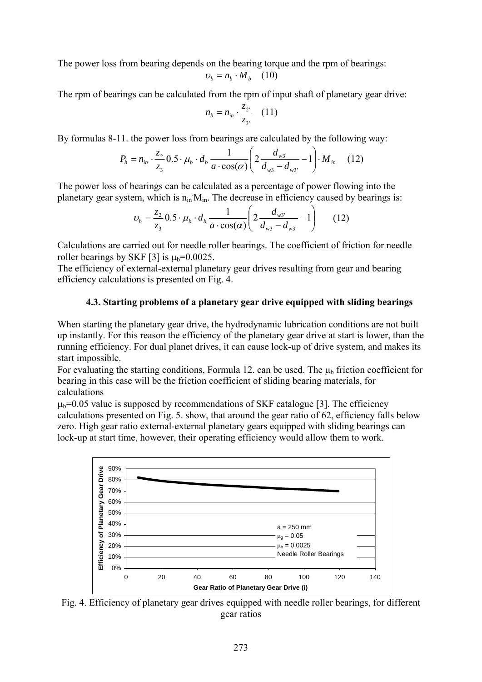The power loss from bearing depends on the bearing torque and the rpm of bearings:

$$
v_b = n_b \cdot M_b \quad (10)
$$

The rpm of bearings can be calculated from the rpm of input shaft of planetary gear drive:

$$
n_b = n_{in} \cdot \frac{z_{2^*}}{z_{3^*}} \quad (11)
$$

By formulas 8-11. the power loss from bearings are calculated by the following way:

$$
P_b = n_{in} \cdot \frac{z_2}{z_3} \cdot 0.5 \cdot \mu_b \cdot d_b \frac{1}{a \cdot \cos(\alpha)} \left( 2 \frac{d_{w3}}{d_{w3} - d_{w3'}} - 1 \right) \cdot M_{in} \quad (12)
$$

The power loss of bearings can be calculated as a percentage of power flowing into the planetary gear system, which is  $n_{in}M_{in}$ . The decrease in efficiency caused by bearings is:

$$
\upsilon_b = \frac{z_2}{z_3} 0.5 \cdot \mu_b \cdot d_b \frac{1}{a \cdot \cos(\alpha)} \left( 2 \frac{d_{w3}}{d_{w3} - d_{w3'}} - 1 \right) \tag{12}
$$

Calculations are carried out for needle roller bearings. The coefficient of friction for needle roller bearings by SKF [3] is  $\mu_b = 0.0025$ .

The efficiency of external-external planetary gear drives resulting from gear and bearing efficiency calculations is presented on Fig. 4.

## **4.3. Starting problems of a planetary gear drive equipped with sliding bearings**

When starting the planetary gear drive, the hydrodynamic lubrication conditions are not built up instantly. For this reason the efficiency of the planetary gear drive at start is lower, than the running efficiency. For dual planet drives, it can cause lock-up of drive system, and makes its start impossible.

For evaluating the starting conditions, Formula 12, can be used. The  $\mu_b$  friction coefficient for bearing in this case will be the friction coefficient of sliding bearing materials, for calculations

 $\mu_b$ =0.05 value is supposed by recommendations of SKF catalogue [3]. The efficiency calculations presented on Fig. 5. show, that around the gear ratio of 62, efficiency falls below zero. High gear ratio external-external planetary gears equipped with sliding bearings can lock-up at start time, however, their operating efficiency would allow them to work.



Fig. 4. Efficiency of planetary gear drives equipped with needle roller bearings, for different gear ratios